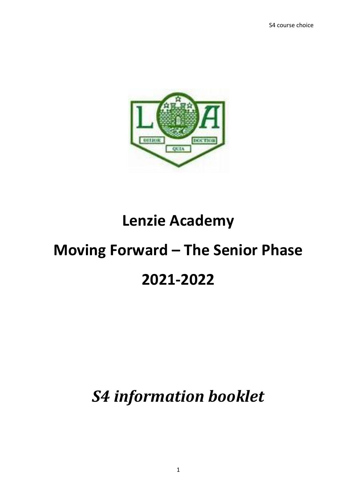

# **Lenzie Academy**

# **Moving Forward – The Senior Phase 2021-2022**

# *S4 information booklet*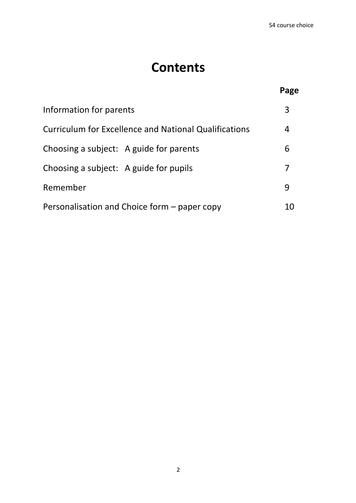## **Contents**

|                                                              | Page |
|--------------------------------------------------------------|------|
| Information for parents                                      | 3    |
| <b>Curriculum for Excellence and National Qualifications</b> | 4    |
| Choosing a subject: A guide for parents                      | 6    |
| Choosing a subject: A guide for pupils                       | 7    |
| Remember                                                     | 9    |
| Personalisation and Choice form – paper copy                 | 10   |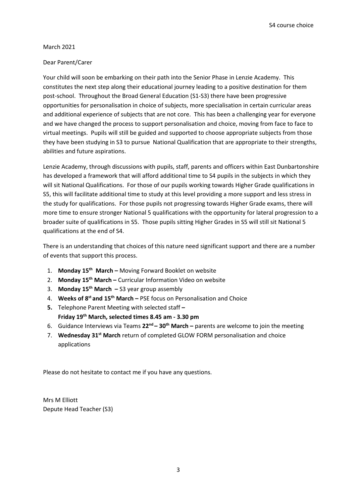S4 course choice

#### March 2021

#### Dear Parent/Carer

Your child will soon be embarking on their path into the Senior Phase in Lenzie Academy. This constitutes the next step along their educational journey leading to a positive destination for them post-school. Throughout the Broad General Education (S1-S3) there have been progressive opportunities for personalisation in choice of subjects, more specialisation in certain curricular areas and additional experience of subjects that are not core. This has been a challenging year for everyone and we have changed the process to support personalisation and choice, moving from face to face to virtual meetings. Pupils will still be guided and supported to choose appropriate subjects from those they have been studying in S3 to pursue National Qualification that are appropriate to their strengths, abilities and future aspirations.

Lenzie Academy, through discussions with pupils, staff, parents and officers within East Dunbartonshire has developed a framework that will afford additional time to S4 pupils in the subjects in which they will sit National Qualifications. For those of our pupils working towards Higher Grade qualifications in S5, this will facilitate additional time to study at this level providing a more support and less stress in the study for qualifications. For those pupils not progressing towards Higher Grade exams, there will more time to ensure stronger National 5 qualifications with the opportunity for lateral progression to a broader suite of qualifications in S5. Those pupils sitting Higher Grades in S5 will still sit National 5 qualifications at the end of S4.

There is an understanding that choices of this nature need significant support and there are a number of events that support this process.

- 1. **Monday 15th March –** Moving Forward Booklet on website
- 2. **Monday 15th March –** Curricular Information Video on website
- 3. **Monday 15th March –** S3 year group assembly
- 4. **Weeks of 8 st and 15th March –** PSE focus on Personalisation and Choice
- **5.** Telephone Parent Meeting with selected staff **– Friday 19th March, selected times 8.45 am - 3.30 pm**
- 6. Guidance Interviews via Teams **22nd – 30th March –** parents are welcome to join the meeting
- 7. **Wednesday 31st March** return of completed GLOW FORM personalisation and choice applications

Please do not hesitate to contact me if you have any questions.

Mrs M Elliott Depute Head Teacher (S3)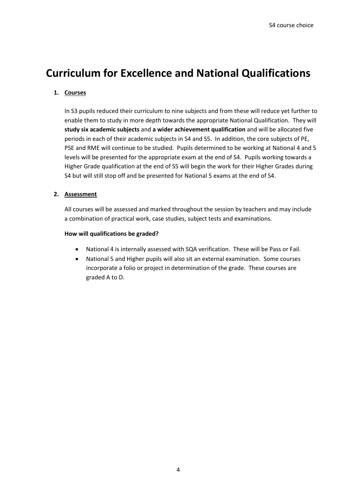## **Curriculum for Excellence and National Qualifications**

#### **1. Courses**

In S3 pupils reduced their curriculum to nine subjects and from these will reduce yet further to enable them to study in more depth towards the appropriate National Qualification. They will **study six academic subjects** and **a wider achievement qualification** and will be allocated five periods in each of their academic subjects in S4 and S5. In addition, the core subjects of PE, PSE and RME will continue to be studied. Pupils determined to be working at National 4 and 5 levels will be presented for the appropriate exam at the end of S4. Pupils working towards a Higher Grade qualification at the end of S5 will begin the work for their Higher Grades during S4 but will still stop off and be presented for National 5 exams at the end of S4.

#### **2. Assessment**

All courses will be assessed and marked throughout the session by teachers and may include a combination of practical work, case studies, subject tests and examinations.

#### **How will qualifications be graded?**

- National 4 is internally assessed with SQA verification. These will be Pass or Fail.
- National 5 and Higher pupils will also sit an external examination. Some courses incorporate a folio or project in determination of the grade. These courses are graded A to D.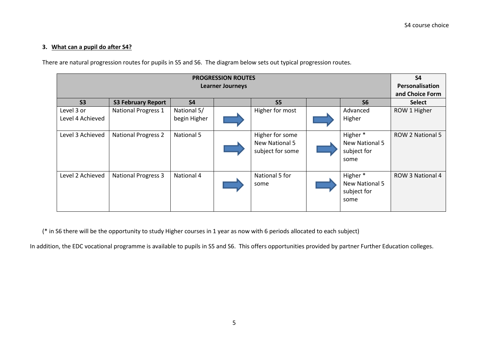#### **3. What can a pupil do after S4?**

There are natural progression routes for pupils in S5 and S6. The diagram below sets out typical progression routes.

| <b>PROGRESSION ROUTES</b>      |                            |                             |  |                                                       |  | S <sub>4</sub>                                               |                         |
|--------------------------------|----------------------------|-----------------------------|--|-------------------------------------------------------|--|--------------------------------------------------------------|-------------------------|
| <b>Learner Journeys</b>        |                            |                             |  |                                                       |  | Personalisation                                              |                         |
|                                |                            |                             |  |                                                       |  |                                                              | and Choice Form         |
| S <sub>3</sub>                 | <b>S3 February Report</b>  | <b>S4</b>                   |  | S <sub>5</sub>                                        |  | S <sub>6</sub>                                               | <b>Select</b>           |
| Level 3 or<br>Level 4 Achieved | <b>National Progress 1</b> | National 5/<br>begin Higher |  | Higher for most                                       |  | Advanced<br>Higher                                           | ROW 1 Higher            |
| Level 3 Achieved               | <b>National Progress 2</b> | National 5                  |  | Higher for some<br>New National 5<br>subject for some |  | Higher <sup>*</sup><br>New National 5<br>subject for<br>some | <b>ROW 2 National 5</b> |
| Level 2 Achieved               | <b>National Progress 3</b> | National 4                  |  | National 5 for<br>some                                |  | Higher <sup>*</sup><br>New National 5<br>subject for<br>some | ROW 3 National 4        |

(\* in S6 there will be the opportunity to study Higher courses in 1 year as now with 6 periods allocated to each subject)

In addition, the EDC vocational programme is available to pupils in S5 and S6. This offers opportunities provided by partner Further Education colleges.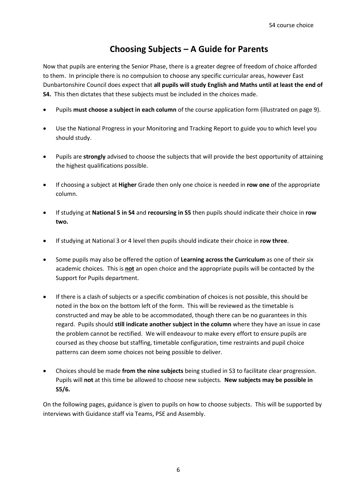### **Choosing Subjects – A Guide for Parents**

Now that pupils are entering the Senior Phase, there is a greater degree of freedom of choice afforded to them. In principle there is no compulsion to choose any specific curricular areas, however East Dunbartonshire Council does expect that **all pupils will study English and Maths until at least the end of S4.** This then dictates that these subjects must be included in the choices made.

- Pupils **must choose a subject in each column** of the course application form (illustrated on page 9).
- Use the National Progress in your Monitoring and Tracking Report to guide you to which level you should study.
- Pupils are **strongly** advised to choose the subjects that will provide the best opportunity of attaining the highest qualifications possible.
- If choosing a subject at **Higher** Grade then only one choice is needed in **row one** of the appropriate column.
- If studying at **National 5 in S4** and **recoursing in S5** then pupils should indicate their choice in **row two.**
- If studying at National 3 or 4 level then pupils should indicate their choice in **row three**.
- Some pupils may also be offered the option of **Learning across the Curriculum** as one of their six academic choices. This is **not** an open choice and the appropriate pupils will be contacted by the Support for Pupils department.
- If there is a clash of subjects or a specific combination of choices is not possible, this should be noted in the box on the bottom left of the form. This will be reviewed as the timetable is constructed and may be able to be accommodated, though there can be no guarantees in this regard. Pupils should **still indicate another subject in the column** where they have an issue in case the problem cannot be rectified. We will endeavour to make every effort to ensure pupils are coursed as they choose but staffing, timetable configuration, time restraints and pupil choice patterns can deem some choices not being possible to deliver.
- Choices should be made **from the nine subjects** being studied in S3 to facilitate clear progression. Pupils will **not** at this time be allowed to choose new subjects. **New subjects may be possible in S5/6.**

On the following pages, guidance is given to pupils on how to choose subjects. This will be supported by interviews with Guidance staff via Teams, PSE and Assembly.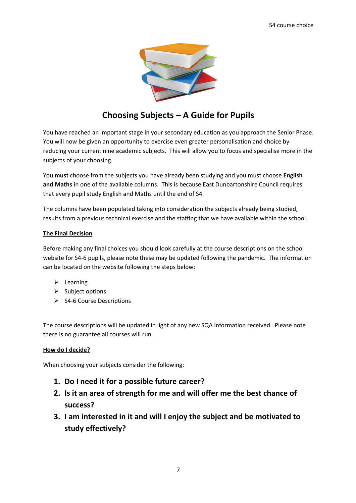

## **Choosing Subjects – A Guide for Pupils**

You have reached an important stage in your secondary education as you approach the Senior Phase. You will now be given an opportunity to exercise even greater personalisation and choice by reducing your current nine academic subjects. This will allow you to focus and specialise more in the subjects of your choosing.

You **must** choose from the subjects you have already been studying and you must choose **English and Maths** in one of the available columns. This is because East Dunbartonshire Council requires that every pupil study English and Maths until the end of S4.

The columns have been populated taking into consideration the subjects already being studied, results from a previous technical exercise and the staffing that we have available within the school.

#### **The Final Decision**

Before making any final choices you should look carefully at the course descriptions on the school website for S4-6 pupils, please note these may be updated following the pandemic. The information can be located on the website following the steps below:

- $\triangleright$  Learning
- $\triangleright$  Subject options
- $\triangleright$  S4-6 Course Descriptions

The course descriptions will be updated in light of any new SQA information received. Please note there is no guarantee all courses will run.

#### **How do I decide?**

When choosing your subjects consider the following:

- **1. Do I need it for a possible future career?**
- **2. Is it an area of strength for me and will offer me the best chance of success?**
- **3. I am interested in it and will I enjoy the subject and be motivated to study effectively?**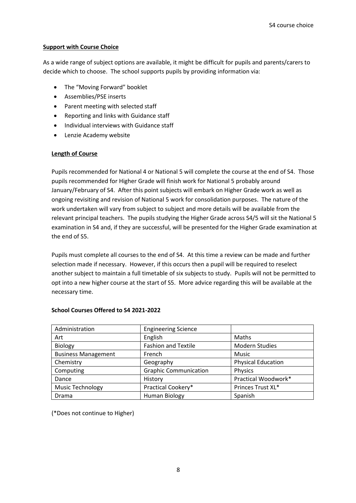#### **Support with Course Choice**

As a wide range of subject options are available, it might be difficult for pupils and parents/carers to decide which to choose. The school supports pupils by providing information via:

- The "Moving Forward" booklet
- Assemblies/PSE inserts
- Parent meeting with selected staff
- Reporting and links with Guidance staff
- Individual interviews with Guidance staff
- Lenzie Academy website

#### **Length of Course**

Pupils recommended for National 4 or National 5 will complete the course at the end of S4. Those pupils recommended for Higher Grade will finish work for National 5 probably around January/February of S4. After this point subjects will embark on Higher Grade work as well as ongoing revisiting and revision of National 5 work for consolidation purposes. The nature of the work undertaken will vary from subject to subject and more details will be available from the relevant principal teachers. The pupils studying the Higher Grade across S4/5 will sit the National 5 examination in S4 and, if they are successful, will be presented for the Higher Grade examination at the end of S5.

Pupils must complete all courses to the end of S4. At this time a review can be made and further selection made if necessary. However, if this occurs then a pupil will be required to reselect another subject to maintain a full timetable of six subjects to study. Pupils will not be permitted to opt into a new higher course at the start of S5. More advice regarding this will be available at the necessary time.

| Administration             | <b>Engineering Science</b>   |                           |
|----------------------------|------------------------------|---------------------------|
| Art                        | English                      | Maths                     |
| Biology                    | <b>Fashion and Textile</b>   | Modern Studies            |
| <b>Business Management</b> | French                       | <b>Music</b>              |
| Chemistry                  | Geography                    | <b>Physical Education</b> |
| Computing                  | <b>Graphic Communication</b> | Physics                   |
| Dance                      | History                      | Practical Woodwork*       |
| <b>Music Technology</b>    | Practical Cookery*           | Princes Trust XL*         |
| Drama                      | Human Biology                | Spanish                   |

#### **School Courses Offered to S4 2021-2022**

(\*Does not continue to Higher)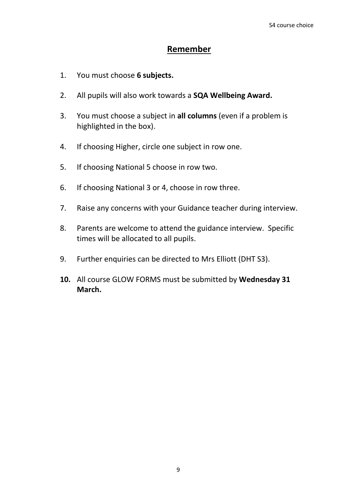### **Remember**

- 1. You must choose **6 subjects.**
- 2. All pupils will also work towards a **SQA Wellbeing Award.**
- 3. You must choose a subject in **all columns** (even if a problem is highlighted in the box).
- 4. If choosing Higher, circle one subject in row one.
- 5. If choosing National 5 choose in row two.
- 6. If choosing National 3 or 4, choose in row three.
- 7. Raise any concerns with your Guidance teacher during interview.
- 8. Parents are welcome to attend the guidance interview. Specific times will be allocated to all pupils.
- 9. Further enquiries can be directed to Mrs Elliott (DHT S3).
- **10.** All course GLOW FORMS must be submitted by **Wednesday 31 March.**